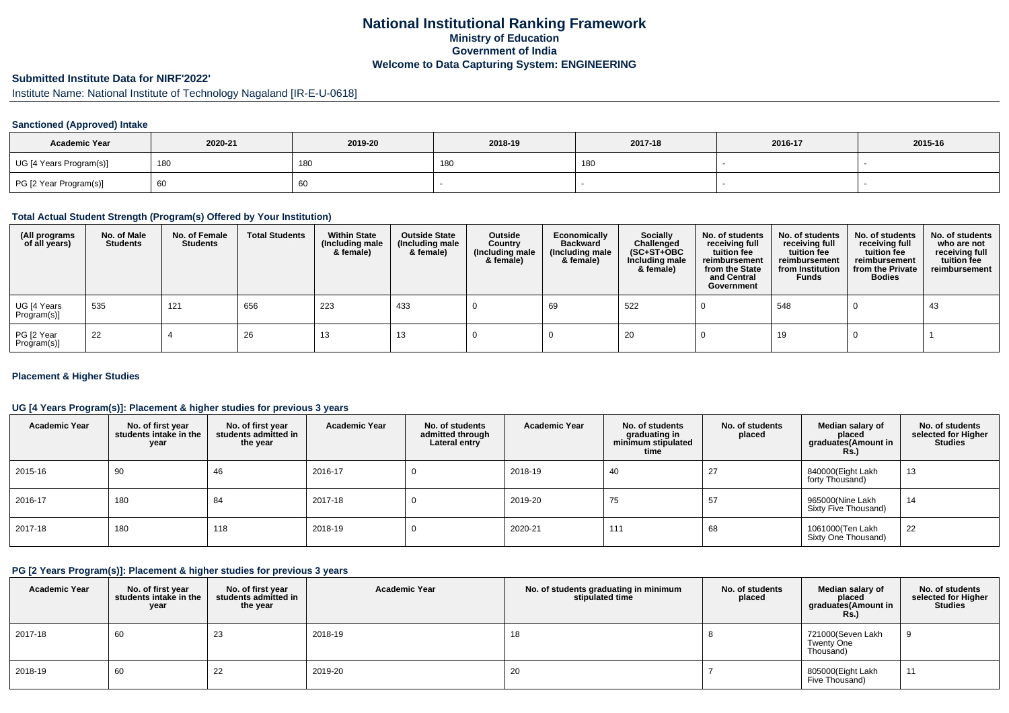## **National Institutional Ranking FrameworkMinistry of Education Government of IndiaWelcome to Data Capturing System: ENGINEERING**

# **Submitted Institute Data for NIRF'2022'**

Institute Name: National Institute of Technology Nagaland [IR-E-U-0618]

#### **Sanctioned (Approved) Intake**

| <b>Academic Year</b>    | 2020-21 | 2019-20 | 2018-19 | 2017-18 | 2016-17 | 2015-16 |
|-------------------------|---------|---------|---------|---------|---------|---------|
| UG [4 Years Program(s)] | 180     | 180     | 180     | 180     |         |         |
| PG [2 Year Program(s)]  | οu      | 60      |         |         |         |         |

#### **Total Actual Student Strength (Program(s) Offered by Your Institution)**

| (All programs<br>of all years) | No. of Male<br><b>Students</b> | No. of Female<br><b>Students</b> | <b>Total Students</b> | <b>Within State</b><br>(Including male<br>& female) | <b>Outside State</b><br>(Including male<br>& female) | Outside<br>Country<br>(Including male<br>& female) | Economically<br><b>Backward</b><br>(Including male<br>& female) | Socially<br>Challenged<br>$(SC+ST+OBC)$<br>Including male<br>& female) | No. of students<br>receiving full<br>tuition fee<br>reimbursement<br>from the State<br>and Central<br>Government | No. of students<br>receiving full<br>tuition fee<br>reimbursement<br>from Institution<br><b>Funds</b> | No. of students<br>receiving full<br>tuition fee<br>reimbursement<br>from the Private<br><b>Bodies</b> | No. of students<br>who are not<br>receiving full<br>tuition fee<br>reimbursement |
|--------------------------------|--------------------------------|----------------------------------|-----------------------|-----------------------------------------------------|------------------------------------------------------|----------------------------------------------------|-----------------------------------------------------------------|------------------------------------------------------------------------|------------------------------------------------------------------------------------------------------------------|-------------------------------------------------------------------------------------------------------|--------------------------------------------------------------------------------------------------------|----------------------------------------------------------------------------------|
| UG [4 Years<br>Program(s)]     | 535                            | 121                              | 656                   | 223                                                 | 433                                                  |                                                    | 69                                                              | 522                                                                    |                                                                                                                  | 548                                                                                                   |                                                                                                        | 43                                                                               |
| PG [2 Year<br>Program(s)]      | 22                             |                                  | 26                    | 13                                                  | 13                                                   |                                                    |                                                                 | 20                                                                     |                                                                                                                  | 19                                                                                                    |                                                                                                        |                                                                                  |

#### **Placement & Higher Studies**

#### **UG [4 Years Program(s)]: Placement & higher studies for previous 3 years**

| <b>Academic Year</b> | No. of first year<br>students intake in the<br>year | No. of first vear<br>students admitted in<br>the year | <b>Academic Year</b> | No. of students<br>admitted through<br>Lateral entry | <b>Academic Year</b> | No. of students<br>graduating in<br>minimum stipulated<br>time | No. of students<br>placed | Median salary of<br>placed<br>graduates(Amount in<br><b>Rs.</b> ) | No. of students<br>selected for Higher<br><b>Studies</b> |
|----------------------|-----------------------------------------------------|-------------------------------------------------------|----------------------|------------------------------------------------------|----------------------|----------------------------------------------------------------|---------------------------|-------------------------------------------------------------------|----------------------------------------------------------|
| 2015-16              | 90                                                  | 46                                                    | 2016-17              | υ                                                    | 2018-19              | 40                                                             | 27                        | 840000(Eight Lakh<br>forty Thousand)                              | 13                                                       |
| 2016-17              | 180                                                 | 84                                                    | 2017-18              | υ                                                    | 2019-20              | 75                                                             | 57                        | 965000(Nine Lakh<br>Sixty Five Thousand)                          | 14                                                       |
| 2017-18              | 180                                                 | 118                                                   | 2018-19              | υ                                                    | 2020-21              | 111                                                            | 68                        | 1061000(Ten Lakh<br>Sixty One Thousand)                           | 22                                                       |

#### **PG [2 Years Program(s)]: Placement & higher studies for previous 3 years**

| <b>Academic Year</b> | No. of first year<br>students intake in the<br>year | No. of first year<br>students admitted in<br>the year | <b>Academic Year</b> | No. of students graduating in minimum<br>stipulated time | No. of students<br>placed | Median salary of<br>placed<br>graduates(Amount in<br><b>Rs.)</b> | No. of students<br>selected for Higher<br><b>Studies</b> |
|----------------------|-----------------------------------------------------|-------------------------------------------------------|----------------------|----------------------------------------------------------|---------------------------|------------------------------------------------------------------|----------------------------------------------------------|
| 2017-18              | 60                                                  | 23                                                    | 2018-19              | 18                                                       |                           | 721000(Seven Lakh<br>Twenty One<br>Thousand)                     |                                                          |
| 2018-19              | 60                                                  | 22                                                    | 2019-20              | 20                                                       |                           | 805000(Eight Lakh<br>Five Thousand)                              | 11                                                       |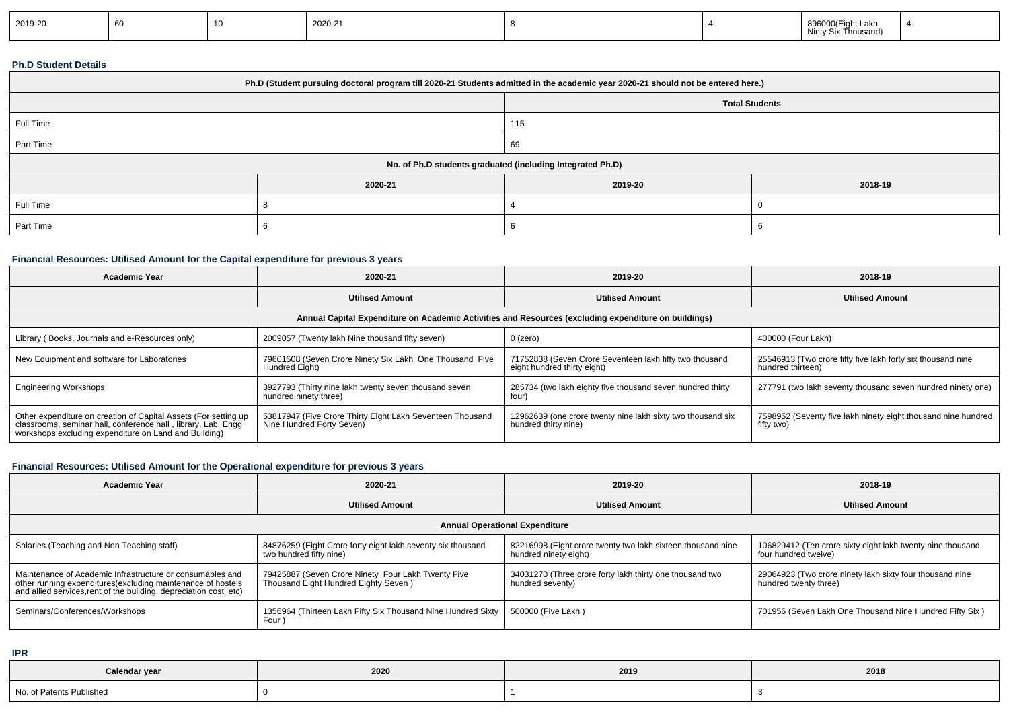| 2019-20 |  |  | 2020-21 |  |  | 896000(Eight Lakh<br>Ninty Six Thousand) |  |
|---------|--|--|---------|--|--|------------------------------------------|--|
|---------|--|--|---------|--|--|------------------------------------------|--|

## **Ph.D Student Details**

| Ph.D (Student pursuing doctoral program till 2020-21 Students admitted in the academic year 2020-21 should not be entered here.) |         |                       |         |  |  |  |
|----------------------------------------------------------------------------------------------------------------------------------|---------|-----------------------|---------|--|--|--|
|                                                                                                                                  |         | <b>Total Students</b> |         |  |  |  |
| Full Time                                                                                                                        |         | 115                   |         |  |  |  |
| Part Time                                                                                                                        |         | 69                    |         |  |  |  |
| No. of Ph.D students graduated (including Integrated Ph.D)                                                                       |         |                       |         |  |  |  |
|                                                                                                                                  | 2020-21 | 2019-20               | 2018-19 |  |  |  |
| Full Time                                                                                                                        |         |                       |         |  |  |  |
| Part Time                                                                                                                        |         |                       |         |  |  |  |

## **Financial Resources: Utilised Amount for the Capital expenditure for previous 3 years**

| <b>Academic Year</b>                                                                                                                                                                      | 2020-21                                                                                | 2019-20                                                                                              | 2018-19                                                                          |
|-------------------------------------------------------------------------------------------------------------------------------------------------------------------------------------------|----------------------------------------------------------------------------------------|------------------------------------------------------------------------------------------------------|----------------------------------------------------------------------------------|
|                                                                                                                                                                                           | <b>Utilised Amount</b>                                                                 | <b>Utilised Amount</b>                                                                               | <b>Utilised Amount</b>                                                           |
|                                                                                                                                                                                           |                                                                                        | Annual Capital Expenditure on Academic Activities and Resources (excluding expenditure on buildings) |                                                                                  |
| Library (Books, Journals and e-Resources only)                                                                                                                                            | 2009057 (Twenty lakh Nine thousand fifty seven)                                        | 0 (zero)                                                                                             | 400000 (Four Lakh)                                                               |
| New Equipment and software for Laboratories                                                                                                                                               | 79601508 (Seven Crore Ninety Six Lakh One Thousand Five<br>Hundred Eight)              | 71752838 (Seven Crore Seventeen lakh fifty two thousand<br>eight hundred thirty eight)               | 25546913 (Two crore fifty five lakh forty six thousand nine<br>hundred thirteen) |
| <b>Engineering Workshops</b>                                                                                                                                                              | 3927793 (Thirty nine lakh twenty seven thousand seven<br>hundred ninety three)         | 285734 (two lakh eighty five thousand seven hundred thirty<br>four)                                  | 277791 (two lakh seventy thousand seven hundred ninety one)                      |
| Other expenditure on creation of Capital Assets (For setting up<br>classrooms, seminar hall, conference hall, library, Lab, Engg<br>workshops excluding expenditure on Land and Building) | 53817947 (Five Crore Thirty Eight Lakh Seventeen Thousand<br>Nine Hundred Forty Seven) | 12962639 (one crore twenty nine lakh sixty two thousand six<br>hundred thirty nine)                  | 7598952 (Seventy five lakh ninety eight thousand nine hundred<br>fifty two)      |

# **Financial Resources: Utilised Amount for the Operational expenditure for previous 3 years**

| <b>Academic Year</b>                                                                                                                                                                            | 2020-21                                                                                             | 2019-20                                                                              | 2018-19                                                                            |  |  |  |  |  |
|-------------------------------------------------------------------------------------------------------------------------------------------------------------------------------------------------|-----------------------------------------------------------------------------------------------------|--------------------------------------------------------------------------------------|------------------------------------------------------------------------------------|--|--|--|--|--|
|                                                                                                                                                                                                 | <b>Utilised Amount</b>                                                                              | <b>Utilised Amount</b>                                                               | <b>Utilised Amount</b>                                                             |  |  |  |  |  |
| <b>Annual Operational Expenditure</b>                                                                                                                                                           |                                                                                                     |                                                                                      |                                                                                    |  |  |  |  |  |
| Salaries (Teaching and Non Teaching staff)                                                                                                                                                      | <sup>1</sup> 84876259 (Eight Crore forty eight lakh seventy six thousand<br>two hundred fifty nine) | 82216998 (Eight crore twenty two lakh sixteen thousand nine<br>hundred ninety eight) | 106829412 (Ten crore sixty eight lakh twenty nine thousand<br>four hundred twelve) |  |  |  |  |  |
| Maintenance of Academic Infrastructure or consumables and<br>other running expenditures (excluding maintenance of hostels<br>and allied services, rent of the building, depreciation cost, etc) | 79425887 (Seven Crore Ninety Four Lakh Twenty Five<br>Thousand Eight Hundred Eighty Seven)          | 34031270 (Three crore forty lakh thirty one thousand two<br>hundred seventy)         | 29064923 (Two crore ninety lakh sixty four thousand nine<br>hundred twenty three)  |  |  |  |  |  |
| Seminars/Conferences/Workshops                                                                                                                                                                  | 1356964 (Thirteen Lakh Fifty Six Thousand Nine Hundred Sixty   500000 (Five Lakh)<br>Four)          |                                                                                      | 701956 (Seven Lakh One Thousand Nine Hundred Fifty Six)                            |  |  |  |  |  |

**IPR**

| Calendar year            | 2020 | 2019 | 2018 |
|--------------------------|------|------|------|
| No. of Patents Published |      |      |      |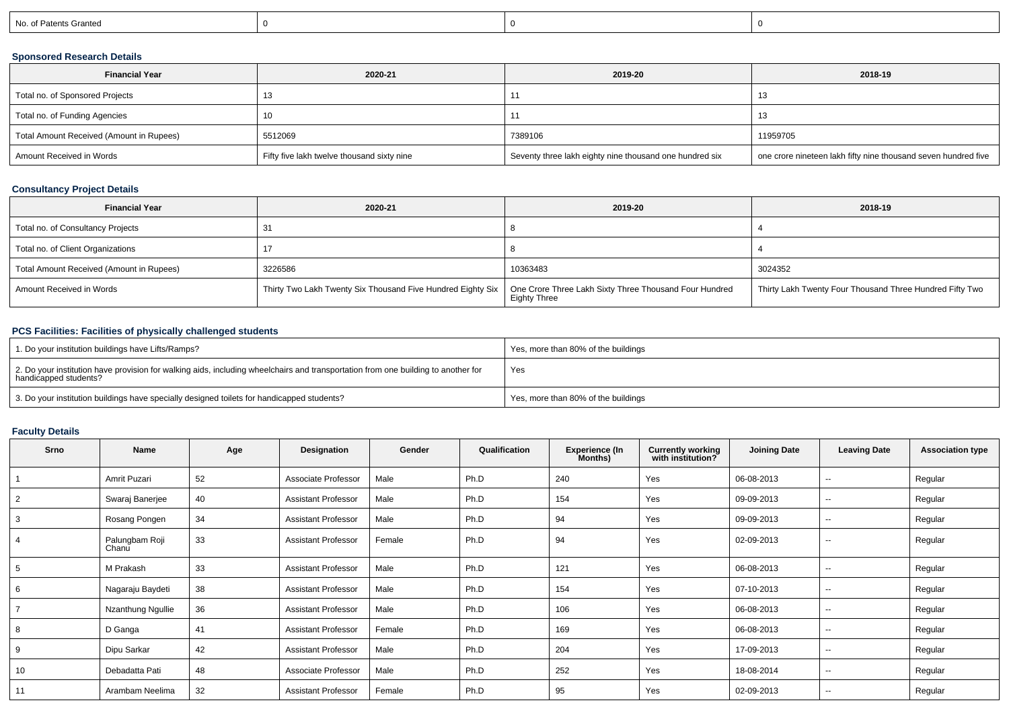| No. of Patents Granted |
|------------------------|
|------------------------|

## **Sponsored Research Details**

| <b>Financial Year</b>                    | 2020-21                                    | 2019-20                                                 | 2018-19                                                        |
|------------------------------------------|--------------------------------------------|---------------------------------------------------------|----------------------------------------------------------------|
| Total no. of Sponsored Projects          |                                            |                                                         | -13                                                            |
| Total no. of Funding Agencies            | 10                                         |                                                         | 13                                                             |
| Total Amount Received (Amount in Rupees) | 5512069                                    | 7389106                                                 | 11959705                                                       |
| Amount Received in Words                 | Fifty five lakh twelve thousand sixty nine | Seventy three lakh eighty nine thousand one hundred six | one crore nineteen lakh fifty nine thousand seven hundred five |

## **Consultancy Project Details**

| <b>Financial Year</b>                    | 2020-21                                                     | 2019-20                                                                | 2018-19                                                  |
|------------------------------------------|-------------------------------------------------------------|------------------------------------------------------------------------|----------------------------------------------------------|
| Total no. of Consultancy Projects        | 31                                                          |                                                                        |                                                          |
| Total no. of Client Organizations        |                                                             |                                                                        |                                                          |
| Total Amount Received (Amount in Rupees) | 3226586                                                     | 10363483                                                               | 3024352                                                  |
| Amount Received in Words                 | Thirty Two Lakh Twenty Six Thousand Five Hundred Eighty Six | One Crore Three Lakh Sixty Three Thousand Four Hundred<br>Eighty Three | Thirty Lakh Twenty Four Thousand Three Hundred Fifty Two |

## **PCS Facilities: Facilities of physically challenged students**

| 1. Do your institution buildings have Lifts/Ramps?                                                                                                         | Yes, more than 80% of the buildings |
|------------------------------------------------------------------------------------------------------------------------------------------------------------|-------------------------------------|
| 2. Do your institution have provision for walking aids, including wheelchairs and transportation from one building to another for<br>handicapped students? | Yes                                 |
| 3. Do your institution buildings have specially designed toilets for handicapped students?                                                                 | Yes, more than 80% of the buildings |

## **Faculty Details**

| Srno           | Name                    | Age | Designation                | Gender | Qualification | <b>Experience (In</b><br>Months) | <b>Currently working</b><br>with institution? | <b>Joining Date</b> | <b>Leaving Date</b>      | <b>Association type</b> |
|----------------|-------------------------|-----|----------------------------|--------|---------------|----------------------------------|-----------------------------------------------|---------------------|--------------------------|-------------------------|
|                | Amrit Puzari            | 52  | Associate Professor        | Male   | Ph.D          | 240                              | Yes                                           | 06-08-2013          | $\overline{\phantom{a}}$ | Regular                 |
| $\overline{2}$ | Swaraj Banerjee         | 40  | <b>Assistant Professor</b> | Male   | Ph.D          | 154                              | Yes                                           | 09-09-2013          | $\overline{\phantom{a}}$ | Regular                 |
| 3              | Rosang Pongen           | 34  | <b>Assistant Professor</b> | Male   | Ph.D          | 94                               | Yes                                           | 09-09-2013          | $\sim$                   | Regular                 |
| 4              | Palungbam Roji<br>Chanu | 33  | <b>Assistant Professor</b> | Female | Ph.D          | 94                               | Yes                                           | 02-09-2013          | $\sim$                   | Regular                 |
| 5              | M Prakash               | 33  | <b>Assistant Professor</b> | Male   | Ph.D          | 121                              | Yes                                           | 06-08-2013          | $\sim$                   | Regular                 |
| 6              | Nagaraju Baydeti        | 38  | <b>Assistant Professor</b> | Male   | Ph.D          | 154                              | Yes                                           | 07-10-2013          | $\overline{\phantom{a}}$ | Regular                 |
|                | Nzanthung Ngullie       | 36  | <b>Assistant Professor</b> | Male   | Ph.D          | 106                              | Yes                                           | 06-08-2013          | $\overline{\phantom{a}}$ | Regular                 |
| 8              | D Ganga                 | 41  | <b>Assistant Professor</b> | Female | Ph.D          | 169                              | Yes                                           | 06-08-2013          | --                       | Regular                 |
| 9              | Dipu Sarkar             | 42  | <b>Assistant Professor</b> | Male   | Ph.D          | 204                              | Yes                                           | 17-09-2013          | $\overline{\phantom{a}}$ | Regular                 |
| 10             | Debadatta Pati          | 48  | Associate Professor        | Male   | Ph.D          | 252                              | Yes                                           | 18-08-2014          | $\overline{\phantom{a}}$ | Regular                 |
| 11             | Arambam Neelima         | 32  | <b>Assistant Professor</b> | Female | Ph.D          | 95                               | Yes                                           | 02-09-2013          | $\sim$                   | Regular                 |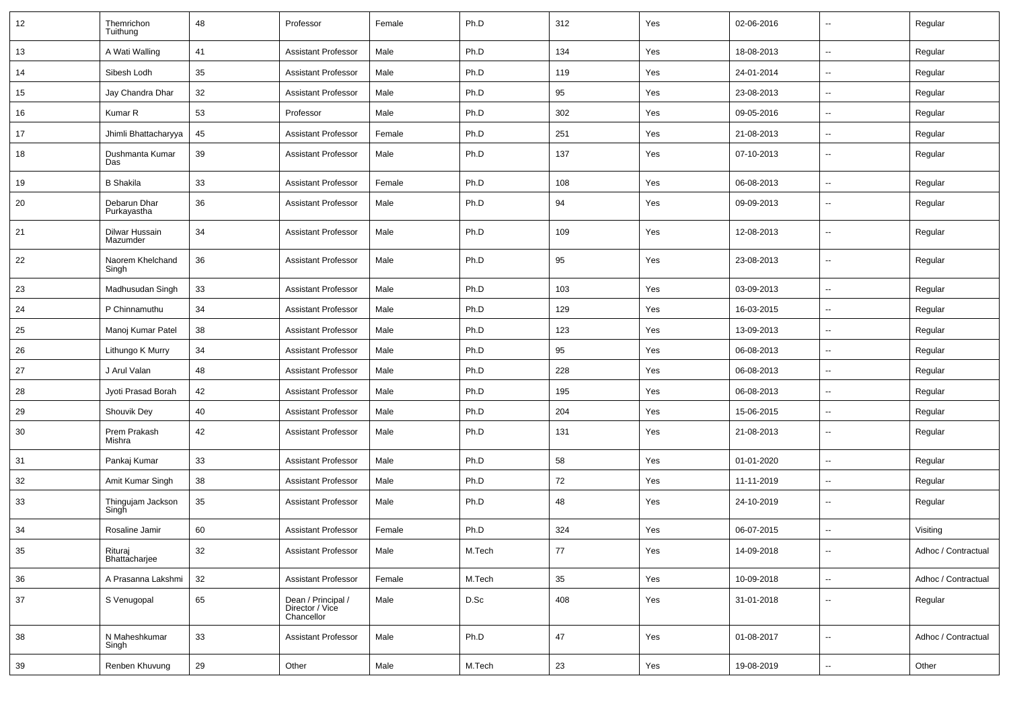| 12 | Themrichon<br>Tuithung      | 48 | Professor                                           | Female | Ph.D   | 312 | Yes | 02-06-2016 | -−                       | Regular             |
|----|-----------------------------|----|-----------------------------------------------------|--------|--------|-----|-----|------------|--------------------------|---------------------|
| 13 | A Wati Walling              | 41 | <b>Assistant Professor</b>                          | Male   | Ph.D   | 134 | Yes | 18-08-2013 | $\sim$                   | Regular             |
| 14 | Sibesh Lodh                 | 35 | <b>Assistant Professor</b>                          | Male   | Ph.D   | 119 | Yes | 24-01-2014 | $\overline{\phantom{a}}$ | Regular             |
| 15 | Jay Chandra Dhar            | 32 | <b>Assistant Professor</b>                          | Male   | Ph.D   | 95  | Yes | 23-08-2013 | $\overline{\phantom{a}}$ | Regular             |
| 16 | Kumar R                     | 53 | Professor                                           | Male   | Ph.D   | 302 | Yes | 09-05-2016 | ⊷.                       | Regular             |
| 17 | Jhimli Bhattacharyya        | 45 | <b>Assistant Professor</b>                          | Female | Ph.D   | 251 | Yes | 21-08-2013 | $\sim$                   | Regular             |
| 18 | Dushmanta Kumar<br>Das      | 39 | <b>Assistant Professor</b>                          | Male   | Ph.D   | 137 | Yes | 07-10-2013 | ⊷.                       | Regular             |
| 19 | <b>B</b> Shakila            | 33 | <b>Assistant Professor</b>                          | Female | Ph.D   | 108 | Yes | 06-08-2013 | Щ,                       | Regular             |
| 20 | Debarun Dhar<br>Purkayastha | 36 | <b>Assistant Professor</b>                          | Male   | Ph.D   | 94  | Yes | 09-09-2013 | ⊶.                       | Regular             |
| 21 | Dilwar Hussain<br>Mazumder  | 34 | <b>Assistant Professor</b>                          | Male   | Ph.D   | 109 | Yes | 12-08-2013 | -−                       | Regular             |
| 22 | Naorem Khelchand<br>Singh   | 36 | <b>Assistant Professor</b>                          | Male   | Ph.D   | 95  | Yes | 23-08-2013 | ⊷.                       | Regular             |
| 23 | Madhusudan Singh            | 33 | <b>Assistant Professor</b>                          | Male   | Ph.D   | 103 | Yes | 03-09-2013 | ⊷.                       | Regular             |
| 24 | P Chinnamuthu               | 34 | <b>Assistant Professor</b>                          | Male   | Ph.D   | 129 | Yes | 16-03-2015 | ⊶.                       | Regular             |
| 25 | Manoj Kumar Patel           | 38 | <b>Assistant Professor</b>                          | Male   | Ph.D   | 123 | Yes | 13-09-2013 | $\overline{\phantom{a}}$ | Regular             |
| 26 | Lithungo K Murry            | 34 | <b>Assistant Professor</b>                          | Male   | Ph.D   | 95  | Yes | 06-08-2013 | ⊷.                       | Regular             |
| 27 | J Arul Valan                | 48 | <b>Assistant Professor</b>                          | Male   | Ph.D   | 228 | Yes | 06-08-2013 | Ξ.                       | Regular             |
| 28 | Jyoti Prasad Borah          | 42 | <b>Assistant Professor</b>                          | Male   | Ph.D   | 195 | Yes | 06-08-2013 | ⊷.                       | Regular             |
| 29 | Shouvik Dey                 | 40 | <b>Assistant Professor</b>                          | Male   | Ph.D   | 204 | Yes | 15-06-2015 | ⊷.                       | Regular             |
| 30 | Prem Prakash<br>Mishra      | 42 | <b>Assistant Professor</b>                          | Male   | Ph.D   | 131 | Yes | 21-08-2013 | $\overline{\phantom{a}}$ | Regular             |
| 31 | Pankaj Kumar                | 33 | <b>Assistant Professor</b>                          | Male   | Ph.D   | 58  | Yes | 01-01-2020 | Ξ.                       | Regular             |
| 32 | Amit Kumar Singh            | 38 | <b>Assistant Professor</b>                          | Male   | Ph.D   | 72  | Yes | 11-11-2019 | -−                       | Regular             |
| 33 | Thingujam Jackson<br>Singh  | 35 | <b>Assistant Professor</b>                          | Male   | Ph.D   | 48  | Yes | 24-10-2019 | --                       | Regular             |
| 34 | Rosaline Jamir              | 60 | <b>Assistant Professor</b>                          | Female | Ph.D   | 324 | Yes | 06-07-2015 | -−                       | Visiting            |
| 35 | Rituraj<br>Bhattacharjee    | 32 | <b>Assistant Professor</b>                          | Male   | M.Tech | 77  | Yes | 14-09-2018 |                          | Adhoc / Contractual |
| 36 | A Prasanna Lakshmi          | 32 | <b>Assistant Professor</b>                          | Female | M.Tech | 35  | Yes | 10-09-2018 | $\bar{\phantom{a}}$      | Adhoc / Contractual |
| 37 | S Venugopal                 | 65 | Dean / Principal /<br>Director / Vice<br>Chancellor | Male   | D.Sc   | 408 | Yes | 31-01-2018 | Щ,                       | Regular             |
| 38 | N Maheshkumar<br>Singh      | 33 | <b>Assistant Professor</b>                          | Male   | Ph.D   | 47  | Yes | 01-08-2017 | $\overline{\phantom{a}}$ | Adhoc / Contractual |
| 39 | Renben Khuvung              | 29 | Other                                               | Male   | M.Tech | 23  | Yes | 19-08-2019 | $\sim$                   | Other               |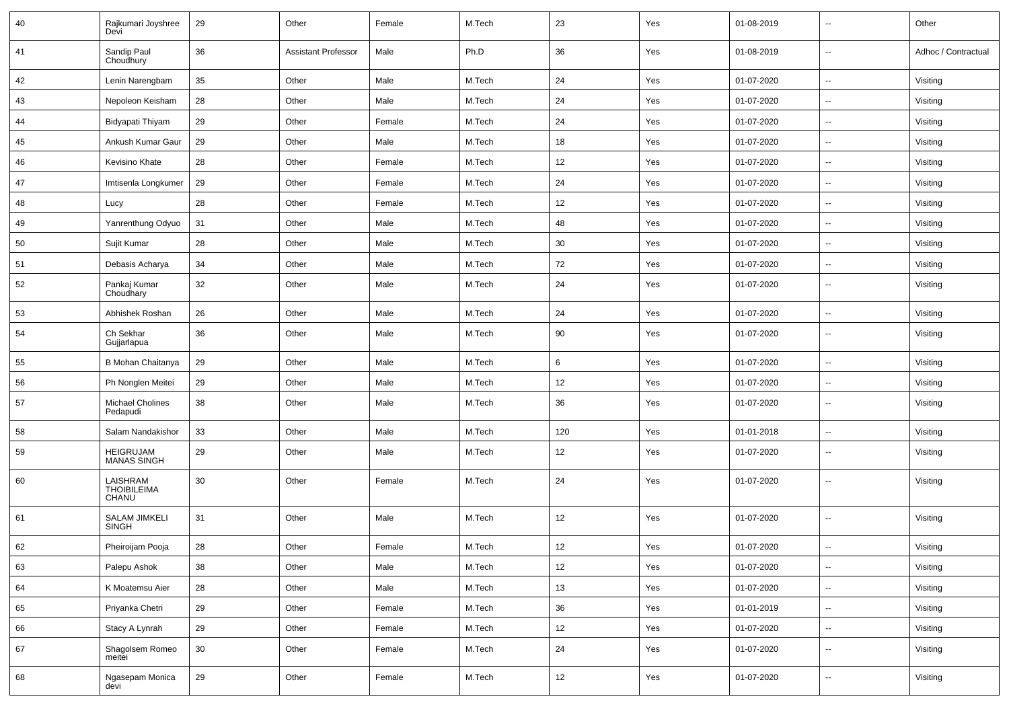| 40 | Rajkumari Joyshree<br>Devi           | 29     | Other                      | Female | M.Tech | 23  | Yes | 01-08-2019 | $\overline{\phantom{a}}$ | Other               |
|----|--------------------------------------|--------|----------------------------|--------|--------|-----|-----|------------|--------------------------|---------------------|
| 41 | Sandip Paul<br>Choudhury             | 36     | <b>Assistant Professor</b> | Male   | Ph.D   | 36  | Yes | 01-08-2019 | $\sim$                   | Adhoc / Contractual |
| 42 | Lenin Narengbam                      | 35     | Other                      | Male   | M.Tech | 24  | Yes | 01-07-2020 | $\sim$                   | Visiting            |
| 43 | Nepoleon Keisham                     | 28     | Other                      | Male   | M.Tech | 24  | Yes | 01-07-2020 | $\overline{\phantom{a}}$ | Visiting            |
| 44 | Bidyapati Thiyam                     | 29     | Other                      | Female | M.Tech | 24  | Yes | 01-07-2020 | $\mathbf{u}$             | Visiting            |
| 45 | Ankush Kumar Gaur                    | 29     | Other                      | Male   | M.Tech | 18  | Yes | 01-07-2020 | $\overline{\phantom{a}}$ | Visiting            |
| 46 | Kevisino Khate                       | 28     | Other                      | Female | M.Tech | 12  | Yes | 01-07-2020 | $\overline{\phantom{a}}$ | Visiting            |
| 47 | Imtisenla Longkumer                  | 29     | Other                      | Female | M.Tech | 24  | Yes | 01-07-2020 | $\sim$                   | Visiting            |
| 48 | Lucy                                 | 28     | Other                      | Female | M.Tech | 12  | Yes | 01-07-2020 | $\sim$                   | Visiting            |
| 49 | Yanrenthung Odyuo                    | 31     | Other                      | Male   | M.Tech | 48  | Yes | 01-07-2020 | $\overline{\phantom{a}}$ | Visiting            |
| 50 | Sujit Kumar                          | 28     | Other                      | Male   | M.Tech | 30  | Yes | 01-07-2020 | $\mathbf{u}$             | Visiting            |
| 51 | Debasis Acharya                      | 34     | Other                      | Male   | M.Tech | 72  | Yes | 01-07-2020 | $\overline{\phantom{a}}$ | Visiting            |
| 52 | Pankaj Kumar<br>Choudhary            | 32     | Other                      | Male   | M.Tech | 24  | Yes | 01-07-2020 | $\overline{\phantom{a}}$ | Visiting            |
| 53 | Abhishek Roshan                      | 26     | Other                      | Male   | M.Tech | 24  | Yes | 01-07-2020 | $\overline{\phantom{a}}$ | Visiting            |
| 54 | Ch Sekhar<br>Gujjarlapua             | 36     | Other                      | Male   | M.Tech | 90  | Yes | 01-07-2020 | $\overline{\phantom{a}}$ | Visiting            |
| 55 | B Mohan Chaitanya                    | 29     | Other                      | Male   | M.Tech | 6   | Yes | 01-07-2020 | Щ,                       | Visiting            |
| 56 | Ph Nonglen Meitei                    | 29     | Other                      | Male   | M.Tech | 12  | Yes | 01-07-2020 | $\overline{\phantom{a}}$ | Visiting            |
| 57 | <b>Michael Cholines</b><br>Pedapudi  | 38     | Other                      | Male   | M.Tech | 36  | Yes | 01-07-2020 | $\overline{\phantom{a}}$ | Visiting            |
| 58 | Salam Nandakishor                    | 33     | Other                      | Male   | M.Tech | 120 | Yes | 01-01-2018 | $\overline{\phantom{a}}$ | Visiting            |
| 59 | HEIGRUJAM<br>MANAS SINGH             | 29     | Other                      | Male   | M.Tech | 12  | Yes | 01-07-2020 | $\overline{\phantom{a}}$ | Visiting            |
| 60 | LAISHRAM<br>THOIBILEIMA<br>CHANU     | 30     | Other                      | Female | M.Tech | 24  | Yes | 01-07-2020 | --                       | Visiting            |
| 61 | <b>SALAM JIMKELI</b><br><b>SINGH</b> | 31     | Other                      | Male   | M.Tech | 12  | Yes | 01-07-2020 | $\overline{\phantom{a}}$ | Visiting            |
| 62 | Pheiroijam Pooja                     | 28     | Other                      | Female | M.Tech | 12  | Yes | 01-07-2020 | --                       | Visiting            |
| 63 | Palepu Ashok                         | 38     | Other                      | Male   | M.Tech | 12  | Yes | 01-07-2020 | Щ,                       | Visiting            |
| 64 | K Moatemsu Aier                      | 28     | Other                      | Male   | M.Tech | 13  | Yes | 01-07-2020 | $\overline{\phantom{a}}$ | Visiting            |
| 65 | Priyanka Chetri                      | 29     | Other                      | Female | M.Tech | 36  | Yes | 01-01-2019 | Щ,                       | Visiting            |
| 66 | Stacy A Lynrah                       | 29     | Other                      | Female | M.Tech | 12  | Yes | 01-07-2020 | $\overline{\phantom{a}}$ | Visiting            |
| 67 | Shagolsem Romeo<br>meitei            | $30\,$ | Other                      | Female | M.Tech | 24  | Yes | 01-07-2020 | $\sim$                   | Visiting            |
| 68 | Ngasepam Monica<br>devi              | 29     | Other                      | Female | M.Tech | 12  | Yes | 01-07-2020 | $\overline{\phantom{a}}$ | Visiting            |